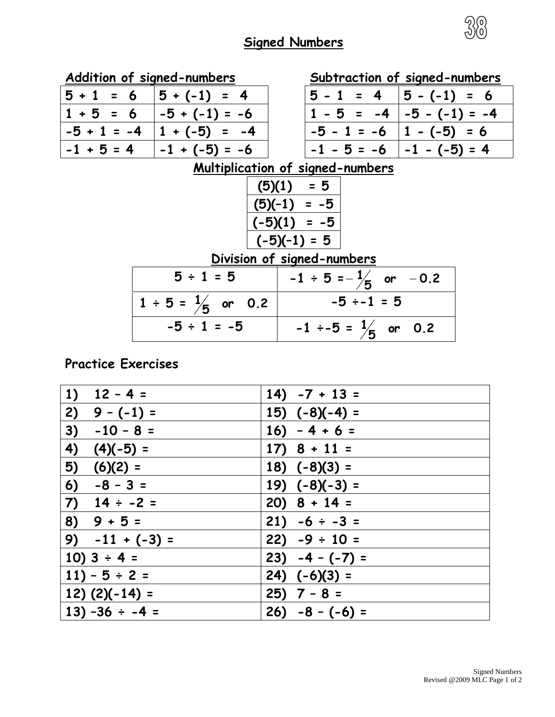## **Signed Numbers**



|                                         | Addition of signed-numbers      | Subtraction of signed-numbers        |  |  |  |
|-----------------------------------------|---------------------------------|--------------------------------------|--|--|--|
| $5 + 1 = 6$                             | $5 + (-1) = 4$                  | $ 5 - 1 = 4$<br>$ 5 - (-1)  = 6$     |  |  |  |
| $1 + 5 = 6$                             | $ -5 + (-1) = -6$               | $1 - 5 = -4$<br>$ -5 - (-1) = -4$    |  |  |  |
| $-5 + 1 = -4$                           | $1 + (-5) = -4$                 | $-5 - 1 = -6$ $ 1 - (-5)  = 6$       |  |  |  |
| $-1 + 5 = 4$                            | $-1 + (-5) = -6$                | $-1$ - 5 = -6 $ -1$ - (-5) = 4       |  |  |  |
| <u>Multiplication of signed-numbers</u> |                                 |                                      |  |  |  |
|                                         |                                 | $(5)(1) = 5$                         |  |  |  |
| $(5)(-1) = -5$                          |                                 |                                      |  |  |  |
| $(-5)(1) = -5$                          |                                 |                                      |  |  |  |
| $(-5)(-1) = 5$                          |                                 |                                      |  |  |  |
| Division of signed-numbers              |                                 |                                      |  |  |  |
|                                         | $5 \div 1 = 5$                  | $-1 \div 5 = -\frac{1}{5}$ or $-0.2$ |  |  |  |
|                                         | $1 \div 5 = \frac{1}{5}$ or 0.2 | $-5 \div -1 = 5$                     |  |  |  |
|                                         | $-5 \div 1 = -5$                | $-1 \div -5 = \frac{1}{5}$ or 0.2    |  |  |  |

**Practice Exercises**

| 1) $12 - 4 =$       | $14) -7 + 13 =$    |
|---------------------|--------------------|
| 2)<br>$9 - (-1) =$  | $15)$ $(-8)(-4) =$ |
| 3)<br>$-10 - 8 =$   | $16) - 4 + 6 =$    |
| 4)<br>$(4)(-5) =$   | $17) 8 + 11 =$     |
| 5)<br>$(6)(2) =$    | $18) (-8)(3) =$    |
| 6)<br>$-8 - 3 =$    | 19) $(-8)(-3) =$   |
| 7) $14 \div -2 =$   | $20)$ 8 + 14 =     |
| $8) 9 + 5 =$        | $21) -6 \div -3 =$ |
| 9) $-11 + (-3) =$   | $22) -9 \div 10 =$ |
| 10) $3 \div 4 =$    | $23) -4 - (-7) =$  |
| $11) - 5 \div 2 =$  | $(24)$ $(-6)(3) =$ |
| $12)$ (2)(-14) =    | $25)$ 7 - 8 =      |
| $13) -36 \div -4 =$ | $26) -8 - (-6) =$  |